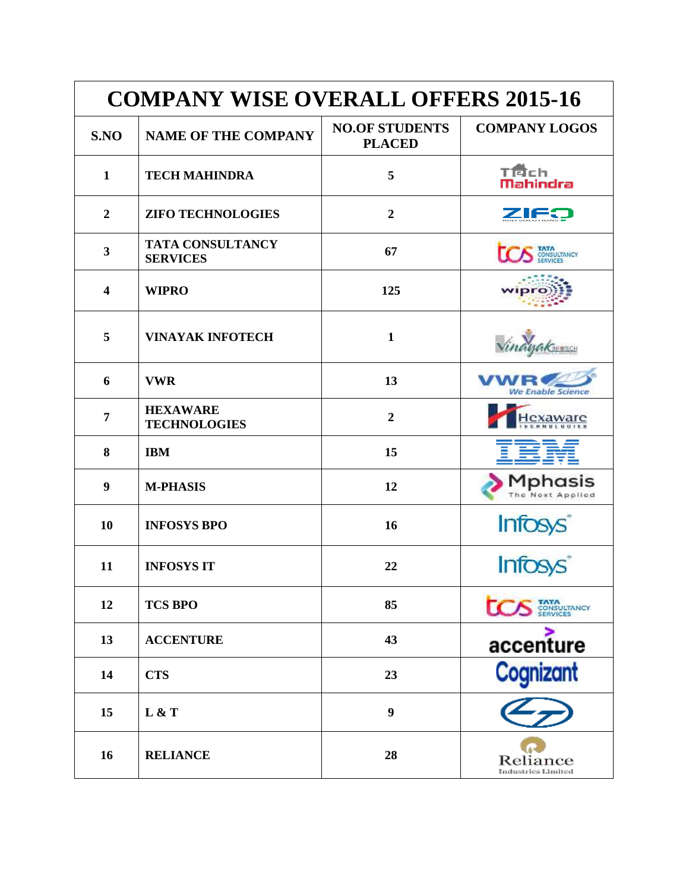| <b>COMPANY WISE OVERALL OFFERS 2015-16</b> |                                            |                                        |                                        |
|--------------------------------------------|--------------------------------------------|----------------------------------------|----------------------------------------|
| S.NO                                       | <b>NAME OF THE COMPANY</b>                 | <b>NO.OF STUDENTS</b><br><b>PLACED</b> | <b>COMPANY LOGOS</b>                   |
| $\mathbf{1}$                               | <b>TECH MAHINDRA</b>                       | 5                                      | TÉch<br><b>Mahindra</b>                |
| $\overline{2}$                             | <b>ZIFO TECHNOLOGIES</b>                   | $\overline{2}$                         | ZIF:                                   |
| $\mathbf{3}$                               | <b>TATA CONSULTANCY</b><br><b>SERVICES</b> | 67                                     | CONSULTANCY                            |
| $\overline{\mathbf{4}}$                    | <b>WIPRO</b>                               | 125                                    |                                        |
| 5                                          | <b>VINAYAK INFOTECH</b>                    | $\mathbf{1}$                           |                                        |
| 6                                          | <b>VWR</b>                                 | 13                                     | We Enable Science                      |
| 7                                          | <b>HEXAWARE</b><br><b>TECHNOLOGIES</b>     | $\overline{2}$                         | exaware                                |
| 8                                          | <b>IBM</b>                                 | 15                                     |                                        |
| 9                                          | <b>M-PHASIS</b>                            | 12                                     | Mphasis<br>The Next Applied            |
| 10                                         | <b>INFOSYS BPO</b>                         | 16                                     | <b>Infosys</b>                         |
| 11                                         | <b>INFOSYS IT</b>                          | 22                                     |                                        |
| 12                                         | <b>TCS BPO</b>                             | 85                                     | <b>TATA</b><br>CONSULTANCY<br>SERVICES |
| 13                                         | <b>ACCENTURE</b>                           | 43                                     | accenture                              |
| 14                                         | <b>CTS</b>                                 | 23                                     | Cognizant                              |
| 15                                         | L & T                                      | $\boldsymbol{9}$                       |                                        |
| 16                                         | <b>RELIANCE</b>                            | 28                                     | Reliance<br>Industries Limited         |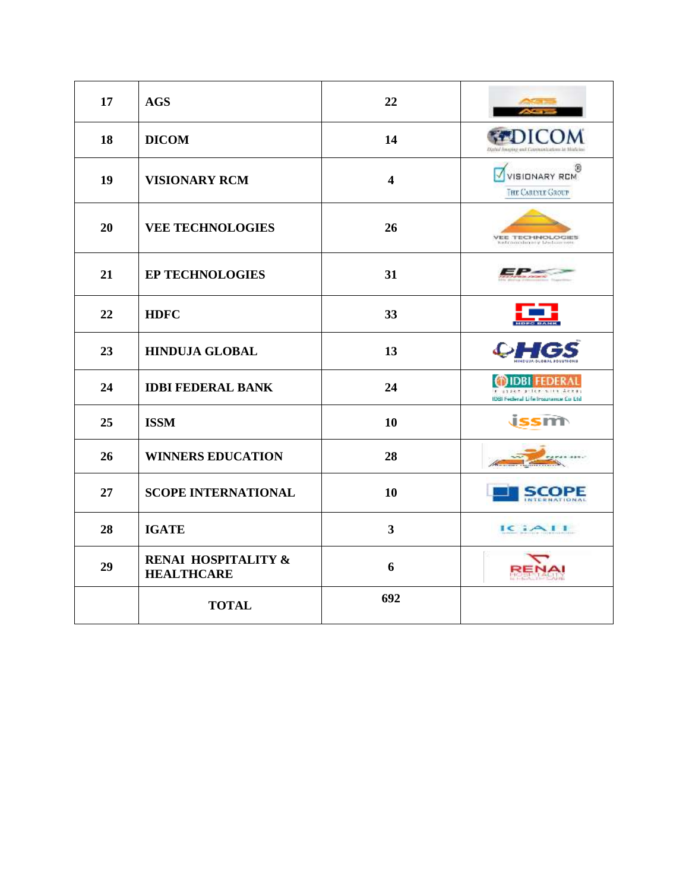| 17 | <b>AGS</b>                               | 22                      |                                                     |
|----|------------------------------------------|-------------------------|-----------------------------------------------------|
| 18 | <b>DICOM</b>                             | 14                      |                                                     |
| 19 | <b>VISIONARY RCM</b>                     | $\overline{\mathbf{4}}$ | 0<br><b>VISIONARY RCM</b><br>THE CAREYLE GROUP      |
| 20 | <b>VEE TECHNOLOGIES</b>                  | 26                      | <b>VEE TECHNOLOGIES</b><br>Estragoliano y Dutsarnon |
| 21 | <b>EP TECHNOLOGIES</b>                   | 31                      |                                                     |
| 22 | <b>HDFC</b>                              | 33                      |                                                     |
| 23 | <b>HINDUJA GLOBAL</b>                    | 13                      |                                                     |
| 24 | <b>IDBI FEDERAL BANK</b>                 | 24                      | IDES Federal Life Insurance Co Ltd                  |
| 25 | <b>ISSM</b>                              | 10                      |                                                     |
| 26 | <b>WINNERS EDUCATION</b>                 | 28                      |                                                     |
| 27 | <b>SCOPE INTERNATIONAL</b>               | 10                      | SCOPE<br>NTERNATIONAL                               |
| 28 | <b>IGATE</b>                             | 3                       | ICAAII                                              |
| 29 | RENAI HOSPITALITY &<br><b>HEALTHCARE</b> | 6                       |                                                     |
|    | <b>TOTAL</b>                             | 692                     |                                                     |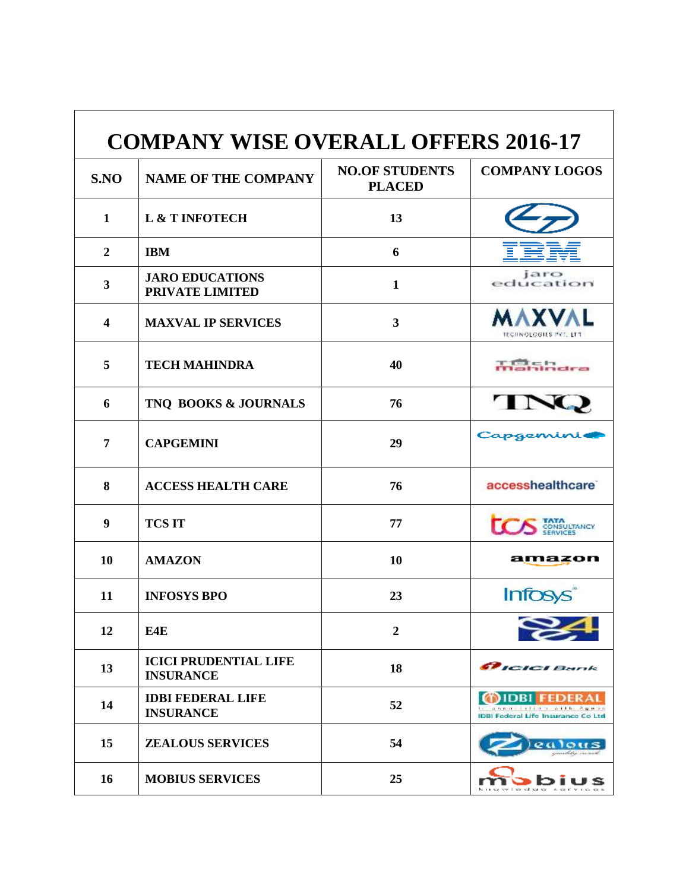| <b>COMPANY WISE OVERALL OFFERS 2016-17</b> |                                                  |                                        |                                                            |  |
|--------------------------------------------|--------------------------------------------------|----------------------------------------|------------------------------------------------------------|--|
| S.NO                                       | <b>NAME OF THE COMPANY</b>                       | <b>NO.OF STUDENTS</b><br><b>PLACED</b> | <b>COMPANY LOGOS</b>                                       |  |
| 1                                          | L & T INFOTECH                                   | 13                                     |                                                            |  |
| $\overline{2}$                             | <b>IBM</b>                                       | 6                                      |                                                            |  |
| 3                                          | <b>JARO EDUCATIONS</b><br>PRIVATE LIMITED        | $\mathbf{1}$                           | jaro<br>education                                          |  |
| $\overline{\mathbf{4}}$                    | <b>MAXVAL IP SERVICES</b>                        | $\overline{\mathbf{3}}$                | <b>MAXVAL</b><br><b>TECHNOLOGIES PVT. LTT</b>              |  |
| 5                                          | <b>TECH MAHINDRA</b>                             | 40                                     | $=17$<br><b>THE REAL PROPERTY</b>                          |  |
| 6                                          | TNO BOOKS & JOURNALS                             | 76                                     | $\mathbf{r}$                                               |  |
| 7                                          | <b>CAPGEMINI</b>                                 | 29                                     | Capgemi                                                    |  |
| 8                                          | <b>ACCESS HEALTH CARE</b>                        | 76                                     | accesshealthcare <sup>®</sup>                              |  |
| 9                                          | <b>TCS IT</b>                                    | 77                                     | ONSULTANCY                                                 |  |
| 10                                         | <b>AMAZON</b>                                    | 10                                     | amazon                                                     |  |
| 11                                         | <b>INFOSYS BPO</b>                               | 23                                     | <b>Infosys</b>                                             |  |
| 12                                         | E4E                                              | $\overline{2}$                         |                                                            |  |
| 13                                         | <b>ICICI PRUDENTIAL LIFE</b><br><b>INSURANCE</b> | 18                                     | <b>CRICICI Bank</b>                                        |  |
| 14                                         | <b>IDBI FEDERAL LIFE</b><br><b>INSURANCE</b>     | 52                                     | <i>I</i> IDRI<br><b>IDBI Federal Life Insurance Co Ltd</b> |  |
| 15                                         | <b>ZEALOUS SERVICES</b>                          | 54                                     |                                                            |  |
| 16                                         | <b>MOBIUS SERVICES</b>                           | 25                                     |                                                            |  |

r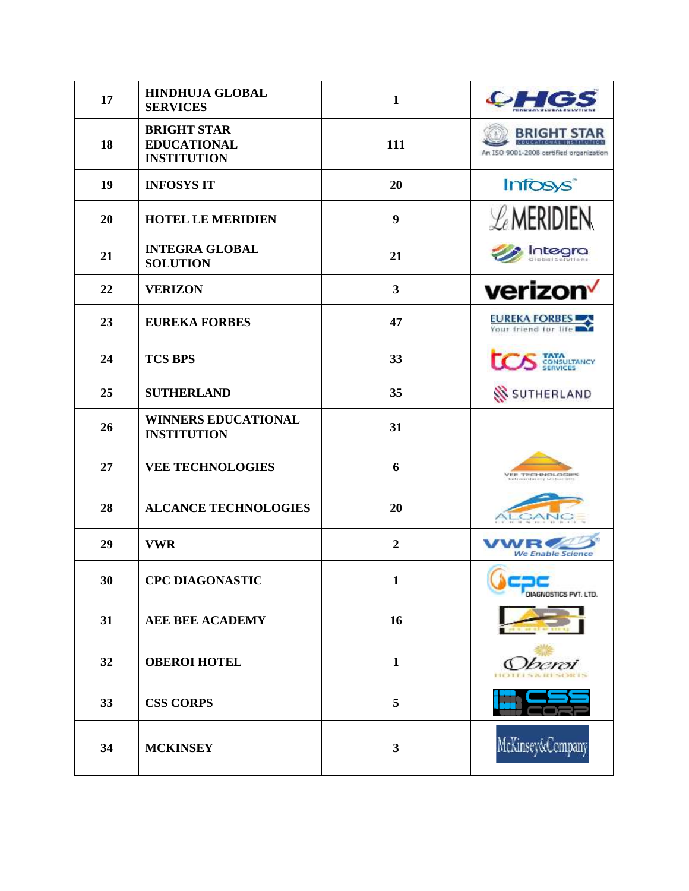| 17 | <b>HINDHUJA GLOBAL</b><br><b>SERVICES</b>                      | $\mathbf{1}$   | احیکه                                                        |
|----|----------------------------------------------------------------|----------------|--------------------------------------------------------------|
| 18 | <b>BRIGHT STAR</b><br><b>EDUCATIONAL</b><br><b>INSTITUTION</b> | 111            | <b>BRIGHT STA</b><br>An ISO 9001-2006 certified organization |
| 19 | <b>INFOSYS IT</b>                                              | 20             | Infosys <sup>®</sup>                                         |
| 20 | <b>HOTEL LE MERIDIEN</b>                                       | 9              | $\mathcal{L}$ MERIDIEN                                       |
| 21 | <b>INTEGRA GLOBAL</b><br><b>SOLUTION</b>                       | 21             | Integra                                                      |
| 22 | <b>VERIZON</b>                                                 | 3              | verizon                                                      |
| 23 | <b>EUREKA FORBES</b>                                           | 47             | <b>EUREKA FORBES</b>                                         |
| 24 | <b>TCS BPS</b>                                                 | 33             | CONSULTANCY<br>SERVICES                                      |
| 25 | <b>SUTHERLAND</b>                                              | 35             | <b>SI</b> SUTHERLAND                                         |
| 26 | <b>WINNERS EDUCATIONAL</b><br><b>INSTITUTION</b>               | 31             |                                                              |
| 27 | <b>VEE TECHNOLOGIES</b>                                        | 6              | <b>VEE TECHNOLOGIES</b>                                      |
| 28 | <b>ALCANCE TECHNOLOGIES</b>                                    | 20             | 100.00                                                       |
| 29 | <b>VWR</b>                                                     | $\overline{2}$ | <b>We Enable Science</b>                                     |
| 30 | <b>CPC DIAGONASTIC</b>                                         | $\mathbf{1}$   | DIAGNOSTICS PVT. LTD.                                        |
| 31 | <b>AEE BEE ACADEMY</b>                                         | 16             |                                                              |
| 32 | <b>OBEROI HOTEL</b>                                            | $\mathbf{1}$   | Oberoi                                                       |
| 33 | <b>CSS CORPS</b>                                               | 5              |                                                              |
| 34 | <b>MCKINSEY</b>                                                | 3              | McKinsey&Company                                             |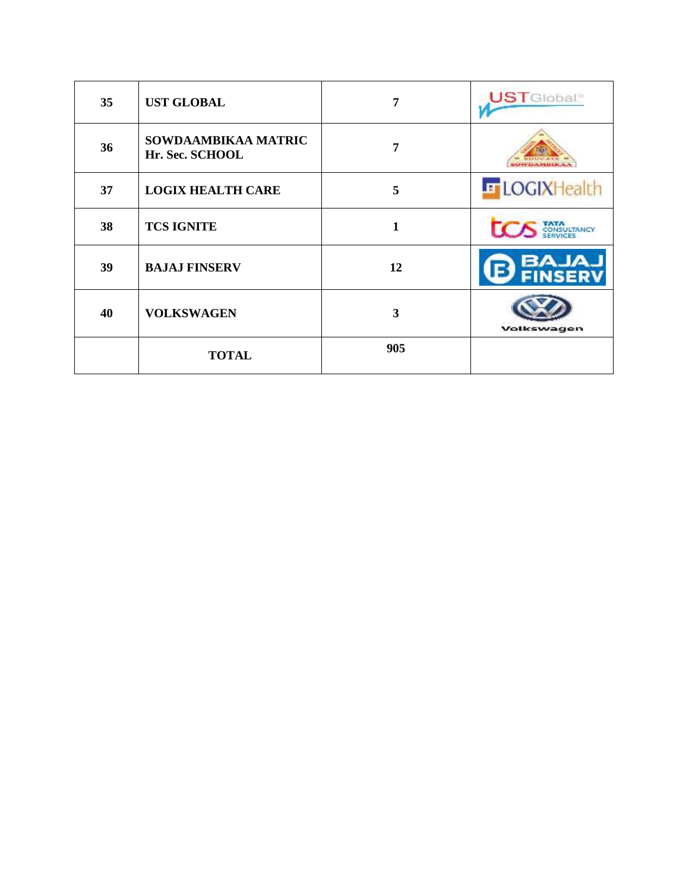| 35 | <b>UST GLOBAL</b>                      | 7   | <b>UST</b> Global <sup>®</sup> |
|----|----------------------------------------|-----|--------------------------------|
| 36 | SOWDAAMBIKAA MATRIC<br>Hr. Sec. SCHOOL | 7   |                                |
| 37 | <b>LOGIX HEALTH CARE</b>               | 5   | <b>E</b> LOGIXHealth           |
| 38 | <b>TCS IGNITE</b>                      | 1   |                                |
| 39 | <b>BAJAJ FINSERV</b>                   | 12  | LALAS<br><b>FINSER</b>         |
| 40 | <b>VOLKSWAGEN</b>                      | 3   | Volkswagen                     |
|    | <b>TOTAL</b>                           | 905 |                                |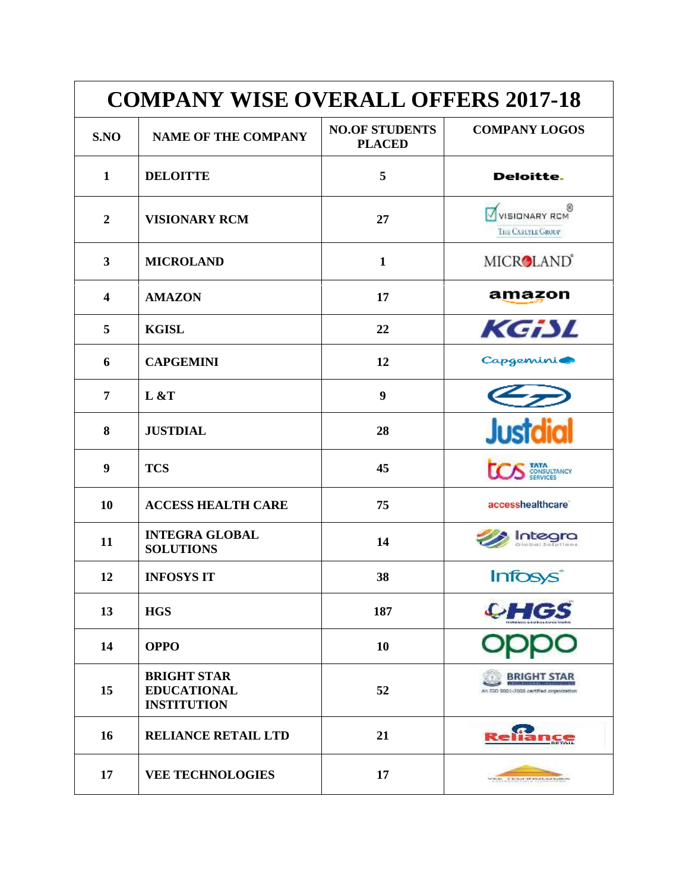| <b>COMPANY WISE OVERALL OFFERS 2017-18</b> |                                                                |                                        |                                                               |
|--------------------------------------------|----------------------------------------------------------------|----------------------------------------|---------------------------------------------------------------|
| S.NO                                       | <b>NAME OF THE COMPANY</b>                                     | <b>NO.OF STUDENTS</b><br><b>PLACED</b> | <b>COMPANY LOGOS</b>                                          |
| 1                                          | <b>DELOITTE</b>                                                | 5                                      | Deloitte.                                                     |
| $\overline{2}$                             | <b>VISIONARY RCM</b>                                           | 27                                     | WISIONARY RCM<br>THE CARLYLE GROUP                            |
| $\mathbf{3}$                               | <b>MICROLAND</b>                                               | $\mathbf{1}$                           | MICROLAND®                                                    |
| $\overline{\mathbf{4}}$                    | <b>AMAZON</b>                                                  | 17                                     | amazon                                                        |
| 5                                          | <b>KGISL</b>                                                   | 22                                     | KGiSL                                                         |
| 6                                          | <b>CAPGEMINI</b>                                               | 12                                     | Capgemini@                                                    |
| $\overline{7}$                             | L & T                                                          | $\boldsymbol{9}$                       |                                                               |
| 8                                          | <b>JUSTDIAL</b>                                                | 28                                     | <b>Justdial</b>                                               |
| 9                                          | <b>TCS</b>                                                     | 45                                     | CONSULTANCY                                                   |
| 10                                         | <b>ACCESS HEALTH CARE</b>                                      | 75                                     | accesshealthcare <sup>®</sup>                                 |
| 11                                         | <b>INTEGRA GLOBAL</b><br><b>SOLUTIONS</b>                      | 14                                     | itegra                                                        |
| 12                                         | <b>INFOSYS IT</b>                                              | 38                                     | <b>Infosys</b>                                                |
| 13                                         | <b>HGS</b>                                                     | 187                                    | <b>CHGS</b>                                                   |
| 14                                         | <b>OPPO</b>                                                    | 10                                     |                                                               |
| 15                                         | <b>BRIGHT STAR</b><br><b>EDUCATIONAL</b><br><b>INSTITUTION</b> | 52                                     | <b>BRIGHT STAR</b><br>In ESO 9001-2008 cartified organization |
| 16                                         | <b>RELIANCE RETAIL LTD</b>                                     | 21                                     |                                                               |
| 17                                         | <b>VEE TECHNOLOGIES</b>                                        | 17                                     | <b>CRIME CONSULTANCIAL MANUSCRIPT</b>                         |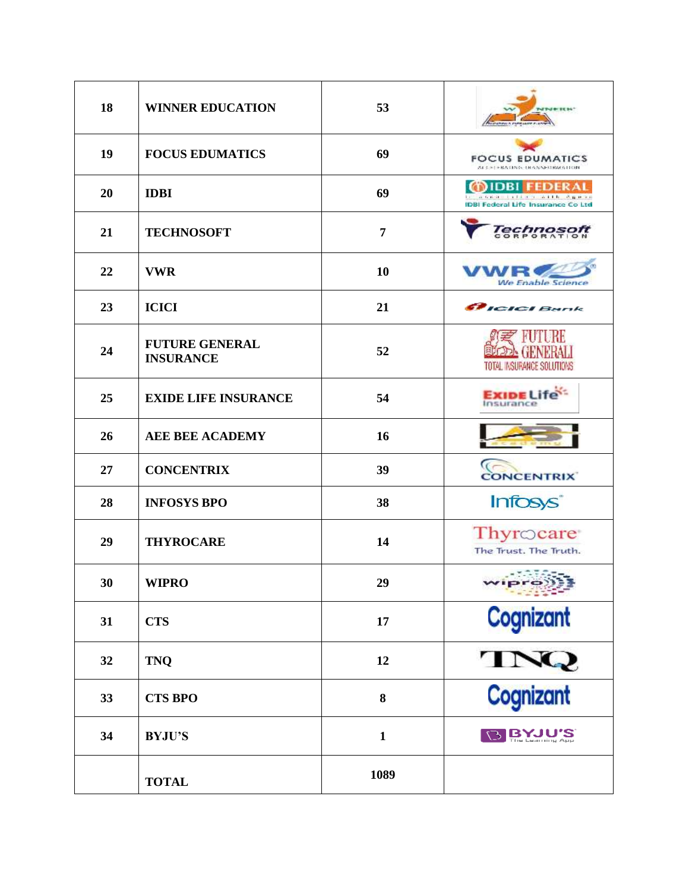| 18 | <b>WINNER EDUCATION</b>                   | 53           | NINERH <sup>+</sup>                                                                   |
|----|-------------------------------------------|--------------|---------------------------------------------------------------------------------------|
| 19 | <b>FOCUS EDUMATICS</b>                    | 69           | <b>FOCUS EDUMATICS</b><br>ALC: 1 + BA CING, 18 ANNESTRA 5 FOR                         |
| 20 | <b>IDBI</b>                               | 69           | DBI<br>FEDER A<br>a diagnosis serialisti<br><b>IDBI Federal Life Insurance Co Ltd</b> |
| 21 | <b>TECHNOSOFT</b>                         | 7            | echnos                                                                                |
| 22 | <b>VWR</b>                                | 10           | <b>We Enable Science</b>                                                              |
| 23 | <b>ICICI</b>                              | 21           | <i>PICICI Bank</i>                                                                    |
| 24 | <b>FUTURE GENERAL</b><br><b>INSURANCE</b> | 52           | TOTAL INSURANCE SOLUTIONS                                                             |
| 25 | <b>EXIDE LIFE INSURANCE</b>               | 54           | <b>Exipe Life</b><br>Insurance                                                        |
| 26 | <b>AEE BEE ACADEMY</b>                    | 16           |                                                                                       |
| 27 | <b>CONCENTRIX</b>                         | 39           | <b>CONCENTRIX</b>                                                                     |
| 28 | <b>INFOSYS BPO</b>                        | 38           | Infosys®                                                                              |
| 29 | <b>THYROCARE</b>                          | 14           | Thyrocare<br>The Trust. The Truth.                                                    |
| 30 | <b>WIPRO</b>                              | 29           | - 1942-19                                                                             |
| 31 | <b>CTS</b>                                | 17           | Cognizant                                                                             |
| 32 | <b>TNQ</b>                                | 12           |                                                                                       |
| 33 | <b>CTS BPO</b>                            | 8            | TNQ<br>Cognizant                                                                      |
| 34 | <b>BYJU'S</b>                             | $\mathbf{1}$ | <b>BIRANAIS</b>                                                                       |
|    | <b>TOTAL</b>                              | 1089         |                                                                                       |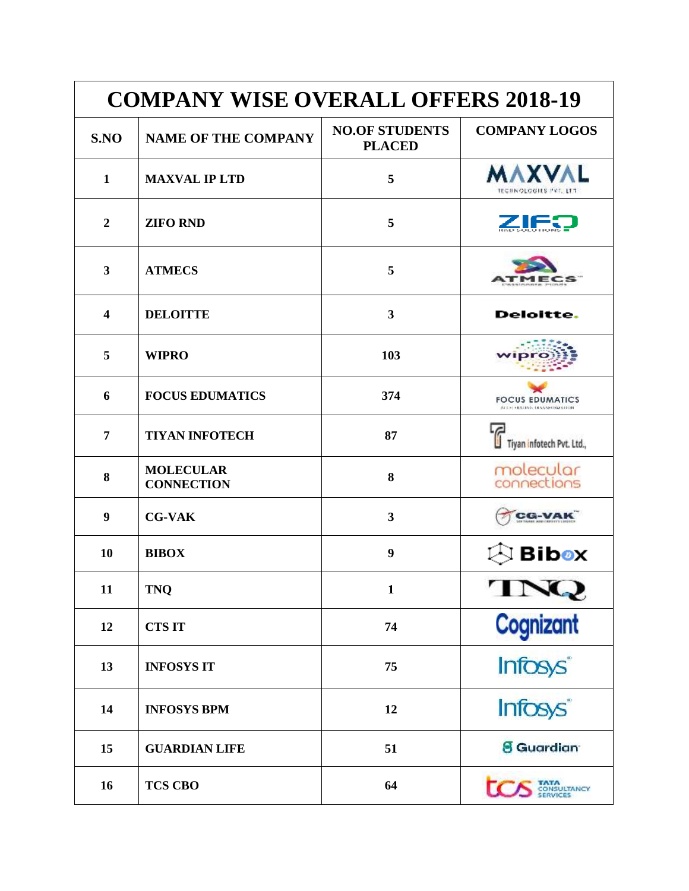| <b>COMPANY WISE OVERALL OFFERS 2018-19</b> |                                       |                                        |                                                      |
|--------------------------------------------|---------------------------------------|----------------------------------------|------------------------------------------------------|
| S.NO                                       | <b>NAME OF THE COMPANY</b>            | <b>NO.OF STUDENTS</b><br><b>PLACED</b> | <b>COMPANY LOGOS</b>                                 |
| $\mathbf{1}$                               | <b>MAXVAL IP LTD</b>                  | 5                                      | <b>MAXVAL</b><br><b>TECHNOLOGIES PVT. LTT</b>        |
| $\overline{2}$                             | <b>ZIFO RND</b>                       | 5                                      |                                                      |
| 3                                          | <b>ATMECS</b>                         | 5                                      |                                                      |
| $\overline{\mathbf{4}}$                    | <b>DELOITTE</b>                       | $\overline{\mathbf{3}}$                | Deloitte.                                            |
| 5                                          | <b>WIPRO</b>                          | 103                                    |                                                      |
| 6                                          | <b>FOCUS EDUMATICS</b>                | 374                                    | <b>FOCUS EDUMATICS</b><br>ALC: LENGTHG DRANNEDWATCON |
| 7                                          | <b>TIYAN INFOTECH</b>                 | 87                                     | Tiyan infotech Pvt. Ltd.,                            |
| 8                                          | <b>MOLECULAR</b><br><b>CONNECTION</b> | 8                                      | molecular<br>connections                             |
| 9                                          | <b>CG-VAK</b>                         | 3                                      | CG-VA                                                |
| 10                                         | <b>BIBOX</b>                          | 9                                      | Bibox                                                |
| 11                                         | <b>TNQ</b>                            | $\mathbf{1}$                           | TNQ                                                  |
| 12                                         | <b>CTS IT</b>                         | 74                                     | Cognizant                                            |
| 13                                         | <b>INFOSYS IT</b>                     | 75                                     | Infosys <sup>*</sup><br>Infosys <sup>*</sup>         |
| 14                                         | <b>INFOSYS BPM</b>                    | 12                                     |                                                      |
| 15                                         | <b>GUARDIAN LIFE</b>                  | 51                                     | <b>8</b> Guardian                                    |
| 16                                         | <b>TCS CBO</b>                        | 64                                     | <b>ISULTANCY</b>                                     |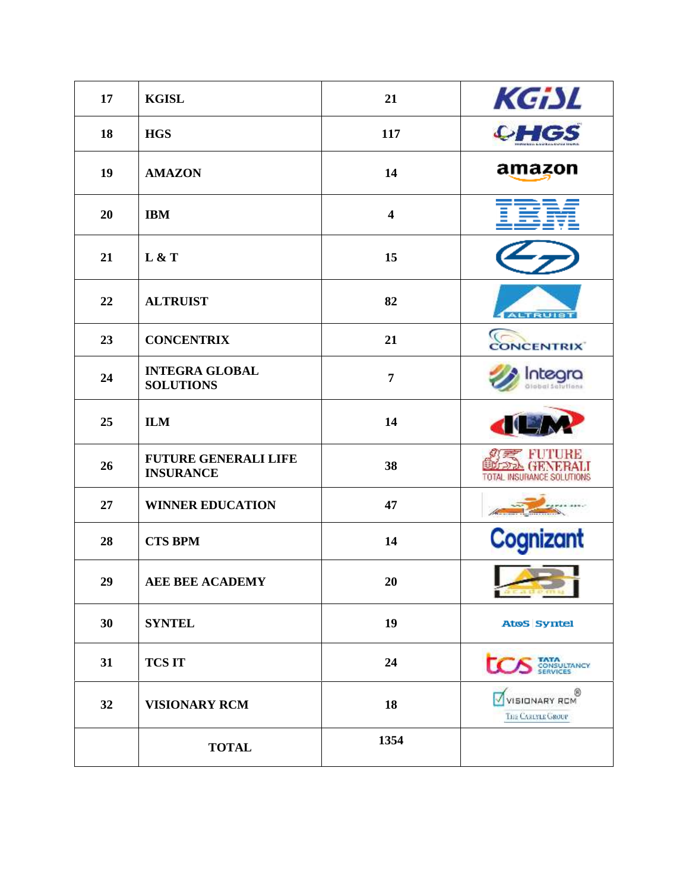| 17 | <b>KGISL</b>                                    | 21                      | KGiSL                                            |
|----|-------------------------------------------------|-------------------------|--------------------------------------------------|
| 18 | <b>HGS</b>                                      | 117                     | <b>CHGS</b>                                      |
| 19 | <b>AMAZON</b>                                   | 14                      | amazon                                           |
| 20 | <b>IBM</b>                                      | $\overline{\mathbf{4}}$ |                                                  |
| 21 | L & T                                           | 15                      |                                                  |
| 22 | <b>ALTRUIST</b>                                 | 82                      | <b>ALTRUIST</b>                                  |
| 23 | <b>CONCENTRIX</b>                               | 21                      | <b>CONCENTRIX</b>                                |
| 24 | <b>INTEGRA GLOBAL</b><br><b>SOLUTIONS</b>       | $\overline{7}$          | nteara<br>diobal Solutions                       |
| 25 | <b>ILM</b>                                      | 14                      |                                                  |
| 26 | <b>FUTURE GENERALI LIFE</b><br><b>INSURANCE</b> | 38                      | <b>FORM GENERAL</b><br>TOTAL INSURANCE SOLUTIONS |
| 27 | <b>WINNER EDUCATION</b>                         | 47                      |                                                  |
| 28 | <b>CTS BPM</b>                                  | 14                      | Cognizant                                        |
| 29 | <b>AEE BEE ACADEMY</b>                          | 20                      | <b>Sendomu</b>                                   |
| 30 | <b>SYNTEL</b>                                   | 19                      | <b>AtoS</b> Syntel                               |
| 31 | <b>TCS IT</b>                                   | 24                      | <b>TATA</b><br>CONSULTANCY<br>SERVICES           |
| 32 | <b>VISIONARY RCM</b>                            | 18                      | 0<br><b>VISIONARY RCM</b><br>THE CARIFLE GROUP   |
|    | <b>TOTAL</b>                                    | 1354                    |                                                  |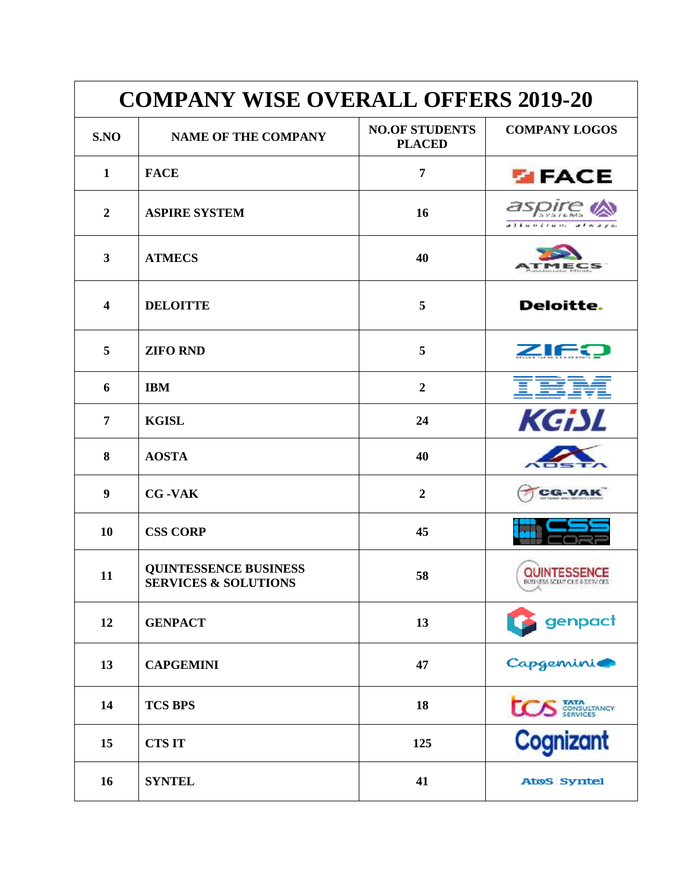| <b>COMPANY WISE OVERALL OFFERS 2019-20</b> |                                                                 |                                        |                                                |
|--------------------------------------------|-----------------------------------------------------------------|----------------------------------------|------------------------------------------------|
| S.NO                                       | <b>NAME OF THE COMPANY</b>                                      | <b>NO.OF STUDENTS</b><br><b>PLACED</b> | <b>COMPANY LOGOS</b>                           |
| 1                                          | <b>FACE</b>                                                     | 7                                      | <b>EIFACE</b>                                  |
| $\boldsymbol{2}$                           | <b>ASPIRE SYSTEM</b>                                            | 16                                     | aspii<br>コミシロ ハミテロ ハー                          |
| 3                                          | <b>ATMECS</b>                                                   | 40                                     |                                                |
| $\overline{\mathbf{4}}$                    | <b>DELOITTE</b>                                                 | 5                                      | Deloitte.                                      |
| 5                                          | <b>ZIFO RND</b>                                                 | 5                                      | ZIEO                                           |
| 6                                          | <b>IBM</b>                                                      | $\overline{2}$                         |                                                |
| 7                                          | <b>KGISL</b>                                                    | 24                                     | KGiSL                                          |
| 8                                          | <b>AOSTA</b>                                                    | 40                                     |                                                |
| 9                                          | <b>CG-VAK</b>                                                   | $\overline{2}$                         | CG-VAI                                         |
| 10                                         | <b>CSS CORP</b>                                                 | 45                                     |                                                |
| 11                                         | <b>QUINTESSENCE BUSINESS</b><br><b>SERVICES &amp; SOLUTIONS</b> | 58                                     | QUINTESSENCE<br>BUSINESS SCIUTICINS & SERVICES |
| 12                                         | <b>GENPACT</b>                                                  | 13                                     | genpact                                        |
| 13                                         | <b>CAPGEMINI</b>                                                | 47                                     | <b>Capgemini@</b>                              |
| 14                                         | <b>TCS BPS</b>                                                  | 18                                     | <b>TATA</b><br>CONSULTANCY                     |
| 15                                         | <b>CTSIT</b>                                                    | 125                                    | Cognizant                                      |
| 16                                         | <b>SYNTEL</b>                                                   | 41                                     | AtoS Syntel                                    |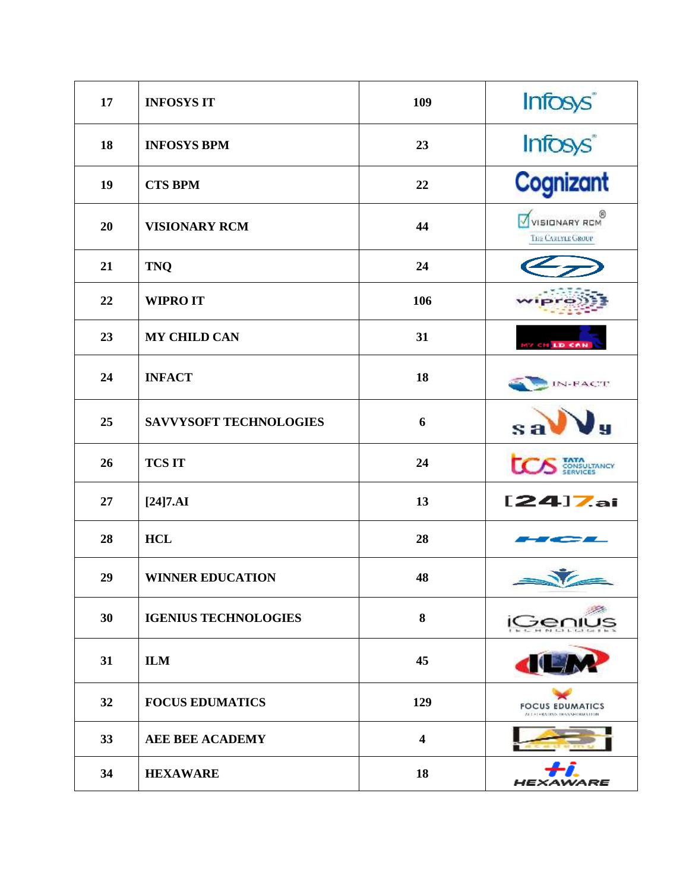| 17 | <b>INFOSYS IT</b>             | 109                     | Infosys <sup>®</sup>                                  |
|----|-------------------------------|-------------------------|-------------------------------------------------------|
| 18 | <b>INFOSYS BPM</b>            | 23                      | Infosys <sup>*</sup>                                  |
| 19 | <b>CTS BPM</b>                | 22                      | Cognizant                                             |
| 20 | <b>VISIONARY RCM</b>          | 44                      | WISIONARY ROM<br>THE CARLYLE GROUP                    |
| 21 | <b>TNQ</b>                    | 24                      |                                                       |
| 22 | <b>WIPRO IT</b>               | 106                     |                                                       |
| 23 | <b>MY CHILD CAN</b>           | 31                      | <b>MY CHILD CAN</b>                                   |
| 24 | <b>INFACT</b>                 | 18                      | IN-FACT                                               |
| 25 | <b>SAVVYSOFT TECHNOLOGIES</b> | 6                       | Jy<br>sa                                              |
| 26 | <b>TCS IT</b>                 | 24                      | <b>TATA</b><br>CONSULTANCY                            |
| 27 | $[24]7.AI$                    | 13                      | $[24]$ Zai                                            |
| 28 | <b>HCL</b>                    | 28                      |                                                       |
| 29 | <b>WINNER EDUCATION</b>       | 48                      | V                                                     |
| 30 | <b>IGENIUS TECHNOLOGIES</b>   | 8                       |                                                       |
| 31 | <b>ILM</b>                    | 45                      |                                                       |
| 32 | <b>FOCUS EDUMATICS</b>        | 129                     | <b>FOCUS EDUMATICS</b><br>ALC: LEADING DRANNFORMATION |
| 33 | <b>AEE BEE ACADEMY</b>        | $\overline{\mathbf{4}}$ |                                                       |
| 34 | <b>HEXAWARE</b>               | 18                      | ARE<br>HEX                                            |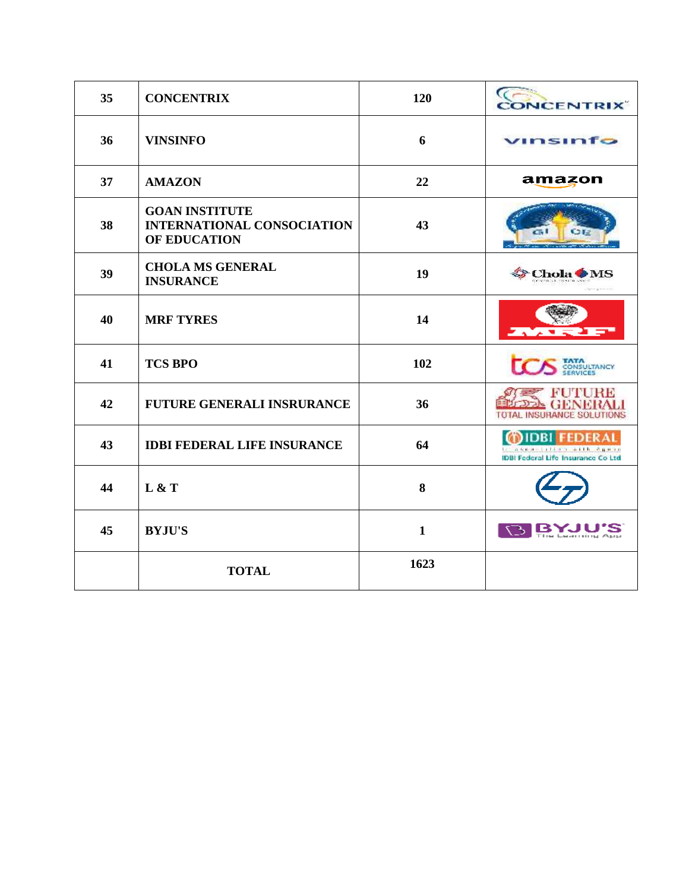| 35 | <b>CONCENTRIX</b>                                                          | 120          | <b>CONCENTRIX</b>                                                       |
|----|----------------------------------------------------------------------------|--------------|-------------------------------------------------------------------------|
| 36 | <b>VINSINFO</b>                                                            | 6            | vinsinfo                                                                |
| 37 | <b>AMAZON</b>                                                              | 22           | amazon                                                                  |
| 38 | <b>GOAN INSTITUTE</b><br><b>INTERNATIONAL CONSOCIATION</b><br>OF EDUCATION | 43           | <b>CHE</b>                                                              |
| 39 | <b>CHOLA MS GENERAL</b><br><b>INSURANCE</b>                                | 19           | Chola                                                                   |
| 40 | <b>MRF TYRES</b>                                                           | 14           |                                                                         |
| 41 | <b>TCS BPO</b>                                                             | 102          |                                                                         |
| 42 | <b>FUTURE GENERALI INSRURANCE</b>                                          | 36           | R STERBE<br><b>INSURANCE SOLUTIONS</b>                                  |
| 43 | <b>IDBI FEDERAL LIFE INSURANCE</b>                                         | 64           | additional within Agencies<br><b>IDBI Federal Life Insurance Co Ltd</b> |
| 44 | L & T                                                                      | 8            |                                                                         |
| 45 | <b>BYJU'S</b>                                                              | $\mathbf{1}$ | $\circ$<br><b>BYJU</b>                                                  |
|    | <b>TOTAL</b>                                                               | 1623         |                                                                         |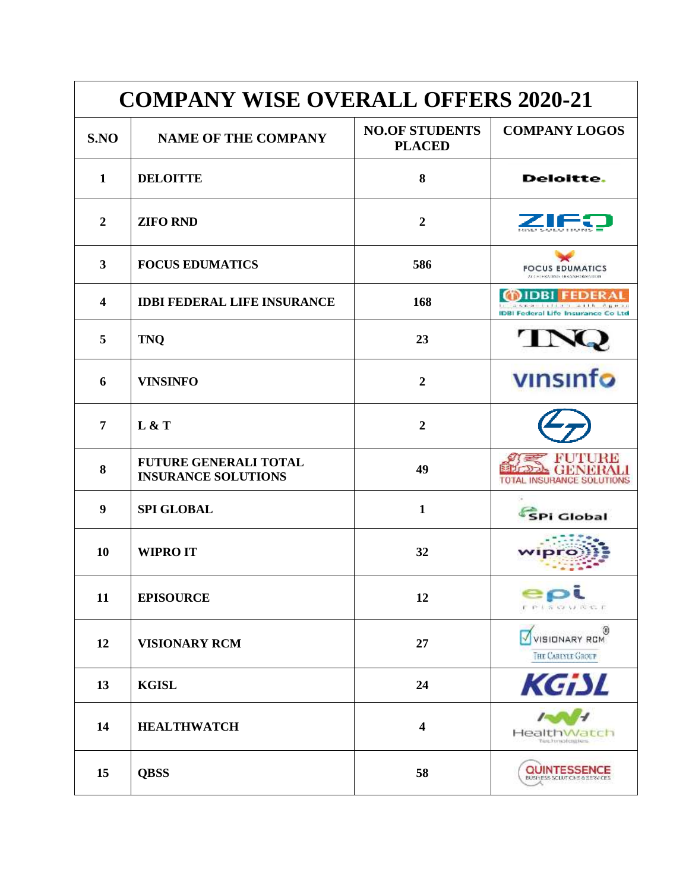| <b>COMPANY WISE OVERALL OFFERS 2020-21</b> |                                                            |                                        |                                                                    |
|--------------------------------------------|------------------------------------------------------------|----------------------------------------|--------------------------------------------------------------------|
| S.NO                                       | <b>NAME OF THE COMPANY</b>                                 | <b>NO.OF STUDENTS</b><br><b>PLACED</b> | <b>COMPANY LOGOS</b>                                               |
| 1                                          | <b>DELOITTE</b>                                            | 8                                      | Deloitte.                                                          |
| $\overline{2}$                             | <b>ZIFO RND</b>                                            | $\overline{2}$                         |                                                                    |
| 3                                          | <b>FOCUS EDUMATICS</b>                                     | 586                                    | <b>FOCUS EDUMATICS</b><br>ALC: LENAGING DRANNEDRMATION             |
| 4                                          | <b>IDBI FEDERAL LIFE INSURANCE</b>                         | 168                                    | the Palmine and Links<br><b>IDBI Federal Life Insurance Co Ltd</b> |
| 5                                          | <b>TNQ</b>                                                 | 23                                     |                                                                    |
| 6                                          | <b>VINSINFO</b>                                            | $\overline{2}$                         | vinsinfo                                                           |
| 7                                          | L & T                                                      | $\overline{2}$                         |                                                                    |
| 8                                          | <b>FUTURE GENERALI TOTAL</b><br><b>INSURANCE SOLUTIONS</b> | 49                                     | FUTNORB<br>TOTAL INSURANCE SOLUTIONS                               |
| 9                                          | <b>SPI GLOBAL</b>                                          | $\mathbf{1}$                           | <b>SPi Global</b>                                                  |
| <b>10</b>                                  | <b>WIPRO IT</b>                                            | 32                                     |                                                                    |
| 11                                         | <b>EPISOURCE</b>                                           | 12                                     | <b>FPISCIUNGE</b>                                                  |
| 12                                         | <b>VISIONARY RCM</b>                                       | 27                                     | O<br>VISIONARY RCM<br>THE CAREYLE GROUP                            |
| 13                                         | <b>KGISL</b>                                               | 24                                     | KGiSL                                                              |
| 14                                         | <b>HEALTHWATCH</b>                                         | 4                                      | HealthWatch<br>Türk hy no feral tens                               |
| 15                                         | <b>QBSS</b>                                                | 58                                     | QUINTESSENCE<br>BUSINESS SCLUTICINS & REPAIRER                     |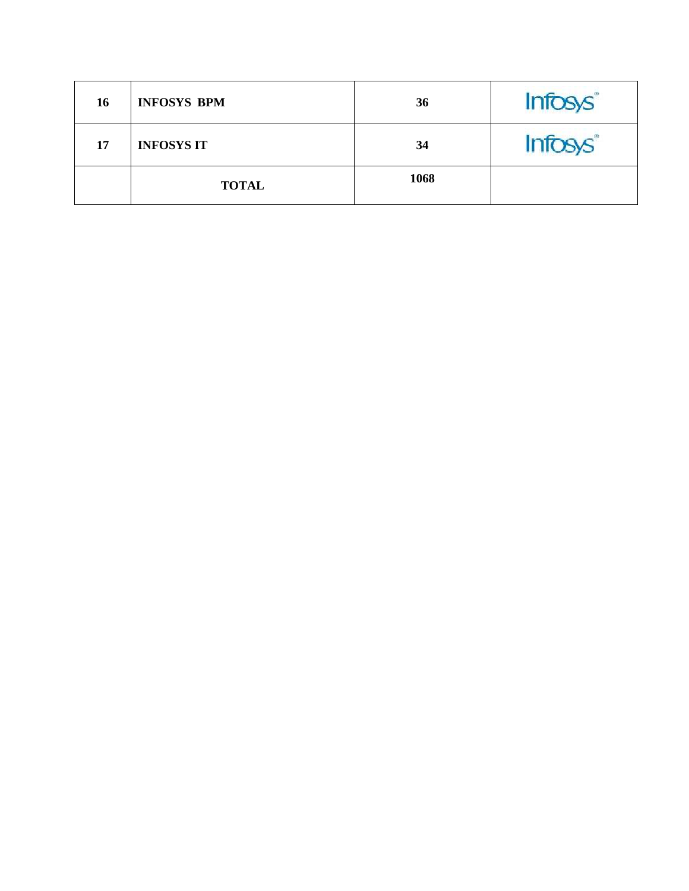| 16 | <b>INFOSYS BPM</b> | 36   | Infosys <sup>®</sup> |
|----|--------------------|------|----------------------|
| 17 | <b>INFOSYS IT</b>  | 34   | Infosys <sup>®</sup> |
|    | <b>TOTAL</b>       | 1068 |                      |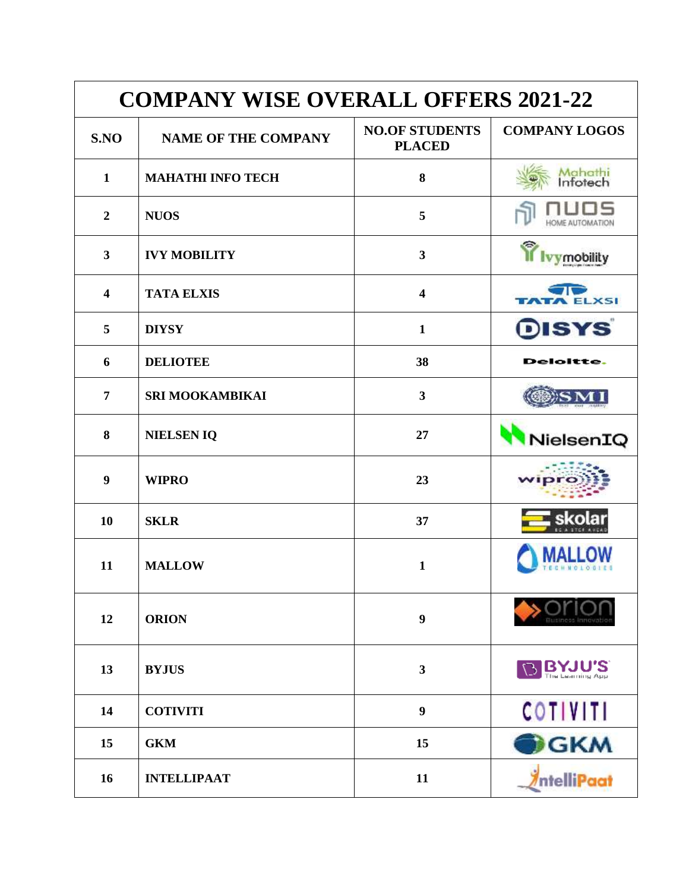| <b>COMPANY WISE OVERALL OFFERS 2021-22</b> |                            |                                        |                                  |
|--------------------------------------------|----------------------------|----------------------------------------|----------------------------------|
| S.NO                                       | <b>NAME OF THE COMPANY</b> | <b>NO.OF STUDENTS</b><br><b>PLACED</b> | <b>COMPANY LOGOS</b>             |
| $\mathbf{1}$                               | <b>MAHATHI INFO TECH</b>   | 8                                      | <mark>Mahathi</mark><br>Infotech |
| $\boldsymbol{2}$                           | <b>NUOS</b>                | 5                                      | <del>I</del> OME AUTOMATION      |
| $\overline{\mathbf{3}}$                    | <b>IVY MOBILITY</b>        | $\mathbf{3}$                           |                                  |
| $\overline{\mathbf{4}}$                    | <b>TATA ELXIS</b>          | 4                                      | <b>ELXSI</b>                     |
| 5                                          | <b>DIYSY</b>               | $\mathbf{1}$                           | <b>DISYS</b>                     |
| 6                                          | <b>DELIOTEE</b>            | 38                                     | Deloitte.                        |
| 7                                          | SRI MOOKAMBIKAI            | $\overline{\mathbf{3}}$                |                                  |
| 8                                          | <b>NIELSENIQ</b>           | 27                                     | NielsenIQ                        |
| 9                                          | <b>WIPRO</b>               | 23                                     |                                  |
| 10                                         | <b>SKLR</b>                | 37                                     |                                  |
| 11                                         | <b>MALLOW</b>              | $\mathbf{1}$                           |                                  |
| 12                                         | <b>ORION</b>               | 9                                      |                                  |
| 13                                         | <b>BYJUS</b>               | 3                                      | <b>BYJU'S</b>                    |
| 14                                         | <b>COTIVITI</b>            | 9                                      | <b>COTIVITI</b>                  |
| 15                                         | <b>GKM</b>                 | 15                                     | <b>B</b> GKM                     |
| 16                                         | <b>INTELLIPAAT</b>         | 11                                     | <i><b>AntelliPaat</b></i>        |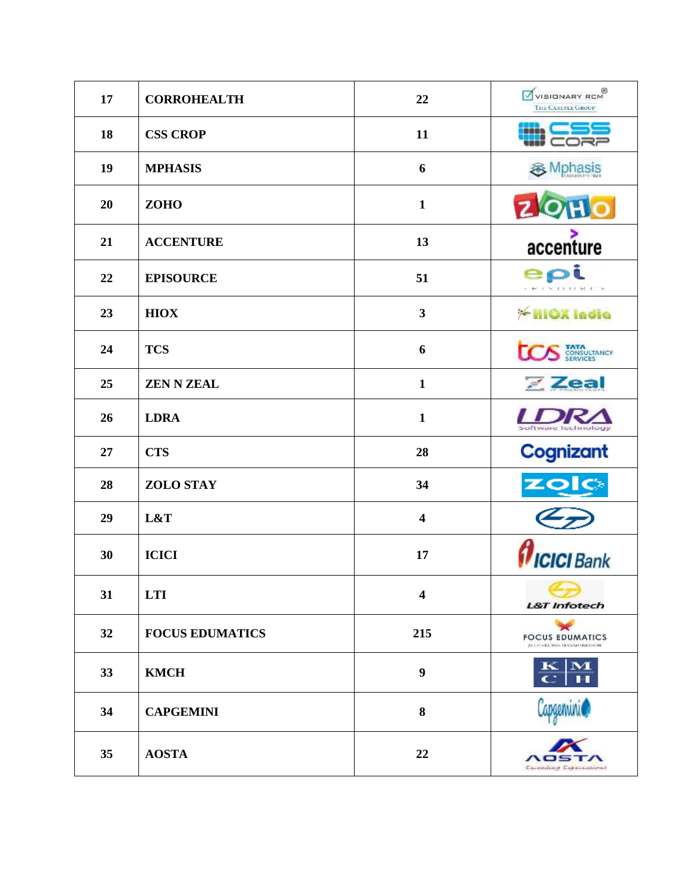| 17 | <b>CORROHEALTH</b>     | 22                      | WISIONARY RCM<br>THE CARLYLE GROUP                   |
|----|------------------------|-------------------------|------------------------------------------------------|
| 18 | <b>CSS CROP</b>        | 11                      |                                                      |
| 19 | <b>MPHASIS</b>         | 6                       | <b>多</b> Mphasis                                     |
| 20 | <b>ZOHO</b>            | $\mathbf{1}$            | ZOH                                                  |
| 21 | <b>ACCENTURE</b>       | 13                      | accenture                                            |
| 22 | <b>EPISOURCE</b>       | 51                      | ept<br><b>PISCIDE</b>                                |
| 23 | <b>HIOX</b>            | $\overline{\mathbf{3}}$ | <b>Exilox India</b>                                  |
| 24 | <b>TCS</b>             | 6                       | <b>TATA</b><br>CONSULTANCY<br>SERVICES               |
| 25 | <b>ZEN N ZEAL</b>      | $\mathbf{1}$            | Zeal                                                 |
| 26 | <b>LDRA</b>            | $\mathbf{1}$            | <b>Lware Technology</b>                              |
| 27 | <b>CTS</b>             | 28                      | Cognizant                                            |
| 28 | <b>ZOLO STAY</b>       | 34                      | <u>zolo</u>                                          |
| 29 | L&T                    | $\overline{\mathbf{4}}$ |                                                      |
| 30 | <b>ICICI</b>           | 17                      | $\boldsymbol{\theta}$ ICICI Bank                     |
| 31 | <b>LTI</b>             | 4                       | <b>L&amp;T</b> Infotech                              |
| 32 | <b>FOCUS EDUMATICS</b> | 215                     | <b>FOCUS EDUMATICS</b><br>ALC: LEADING DRANNEDWATION |
| 33 | <b>KMCH</b>            | 9                       | $\mathbf{M}$                                         |
| 34 | <b>CAPGEMINI</b>       | 8                       | Capgenvini@                                          |
| 35 | <b>AOSTA</b>           | 22                      | nos<br>Easterline Experiences                        |